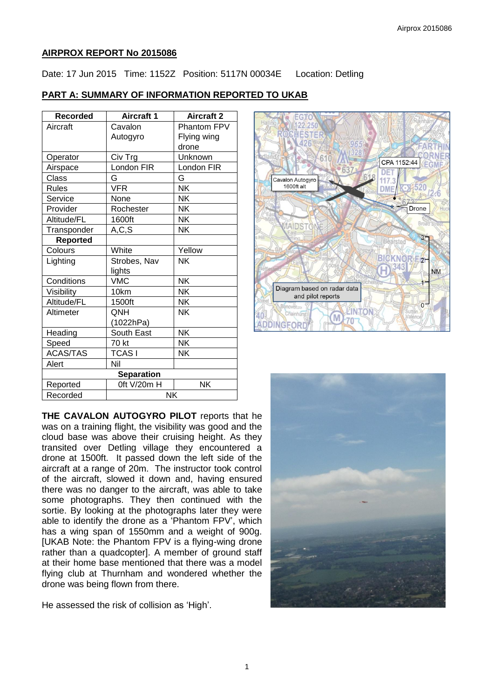### **AIRPROX REPORT No 2015086**

Date: 17 Jun 2015 Time: 1152Z Position: 5117N 00034E Location: Detling

# **PART A: SUMMARY OF INFORMATION REPORTED TO UKAB**

| Recorded          | <b>Aircraft 1</b> | <b>Aircraft 2</b> |
|-------------------|-------------------|-------------------|
| Aircraft          | Cavalon           | Phantom FPV       |
|                   | Autogyro          | Flying wing       |
|                   |                   | drone             |
| Operator          | Civ Trg           | Unknown           |
| Airspace          | London FIR        | London FIR        |
| <b>Class</b>      | G                 | G                 |
| <b>Rules</b>      | <b>VFR</b>        | <b>NK</b>         |
| Service           | None              | <b>NK</b>         |
| Provider          | Rochester         | <b>NK</b>         |
| Altitude/FL       | 1600ft            | <b>NK</b>         |
| Transponder       | A, C, S           | <b>NK</b>         |
| <b>Reported</b>   |                   |                   |
| Colours           | White             | Yellow            |
| Lighting          | Strobes, Nav      | <b>NK</b>         |
|                   | lights            |                   |
| Conditions        | <b>VMC</b>        | <b>NK</b>         |
| Visibility        | 10km              | <b>NK</b>         |
| Altitude/FL       | 1500ft            | <b>NK</b>         |
| Altimeter         | QNH               | NΚ                |
|                   | (1022hPa)         |                   |
| Heading           | South East        | <b>NK</b>         |
| Speed             | 70 kt             | <b>NK</b>         |
| <b>ACAS/TAS</b>   | <b>TCASI</b>      | <b>NK</b>         |
| Alert             | Nil               |                   |
| <b>Separation</b> |                   |                   |
| Reported          | Oft V/20m H       | <b>NK</b>         |
| Recorded          | NK                |                   |

**THE CAVALON AUTOGYRO PILOT** reports that he was on a training flight, the visibility was good and the cloud base was above their cruising height. As they transited over Detling village they encountered a drone at 1500ft. It passed down the left side of the aircraft at a range of 20m. The instructor took control of the aircraft, slowed it down and, having ensured there was no danger to the aircraft, was able to take some photographs. They then continued with the sortie. By looking at the photographs later they were able to identify the drone as a 'Phantom FPV', which has a wing span of 1550mm and a weight of 900g. [UKAB Note: the Phantom FPV is a flying-wing drone rather than a quadcopter]. A member of ground staff at their home base mentioned that there was a model flying club at Thurnham and wondered whether the drone was being flown from there.

He assessed the risk of collision as 'High'.



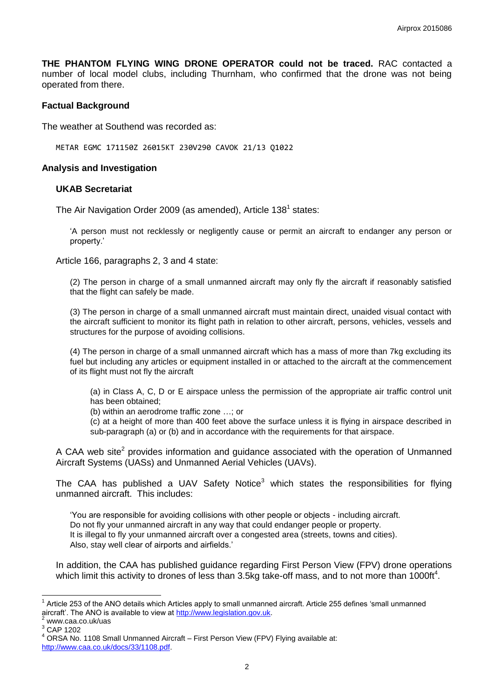**THE PHANTOM FLYING WING DRONE OPERATOR could not be traced.** RAC contacted a number of local model clubs, including Thurnham, who confirmed that the drone was not being operated from there.

### **Factual Background**

The weather at Southend was recorded as:

METAR EGMC 171150Z 26015KT 230V290 CAVOK 21/13 Q1022

### **Analysis and Investigation**

#### **UKAB Secretariat**

The Air Navigation Order 2009 (as amended), Article 138<sup>1</sup> states:

'A person must not recklessly or negligently cause or permit an aircraft to endanger any person or property.'

Article 166, paragraphs 2, 3 and 4 state:

(2) The person in charge of a small unmanned aircraft may only fly the aircraft if reasonably satisfied that the flight can safely be made.

(3) The person in charge of a small unmanned aircraft must maintain direct, unaided visual contact with the aircraft sufficient to monitor its flight path in relation to other aircraft, persons, vehicles, vessels and structures for the purpose of avoiding collisions.

(4) The person in charge of a small unmanned aircraft which has a mass of more than 7kg excluding its fuel but including any articles or equipment installed in or attached to the aircraft at the commencement of its flight must not fly the aircraft

(a) in Class A, C, D or E airspace unless the permission of the appropriate air traffic control unit has been obtained;

(b) within an aerodrome traffic zone …; or

(c) at a height of more than 400 feet above the surface unless it is flying in airspace described in sub-paragraph (a) or (b) and in accordance with the requirements for that airspace.

A CAA web site<sup>2</sup> provides information and guidance associated with the operation of Unmanned Aircraft Systems (UASs) and Unmanned Aerial Vehicles (UAVs).

The CAA has published a UAV Safety Notice<sup>3</sup> which states the responsibilities for flying unmanned aircraft. This includes:

'You are responsible for avoiding collisions with other people or objects - including aircraft. Do not fly your unmanned aircraft in any way that could endanger people or property. It is illegal to fly your unmanned aircraft over a congested area (streets, towns and cities). Also, stay well clear of airports and airfields.'

In addition, the CAA has published guidance regarding First Person View (FPV) drone operations which limit this activity to drones of less than 3.5kg take-off mass, and to not more than 1000ft<sup>4</sup>.

 $\overline{a}$ 1 Article 253 of the ANO details which Articles apply to small unmanned aircraft. Article 255 defines 'small unmanned aircraft'. The ANO is available to view at [http://www.legislation.gov.uk.](http://www.legislation.gov.uk/)

www.caa.co.uk/uas

<sup>3</sup> CAP 1202

ORSA No. 1108 Small Unmanned Aircraft – First Person View (FPV) Flying available at: [http://www.caa.co.uk/docs/33/1108.pdf.](http://www.caa.co.uk/docs/33/1108.pdf)